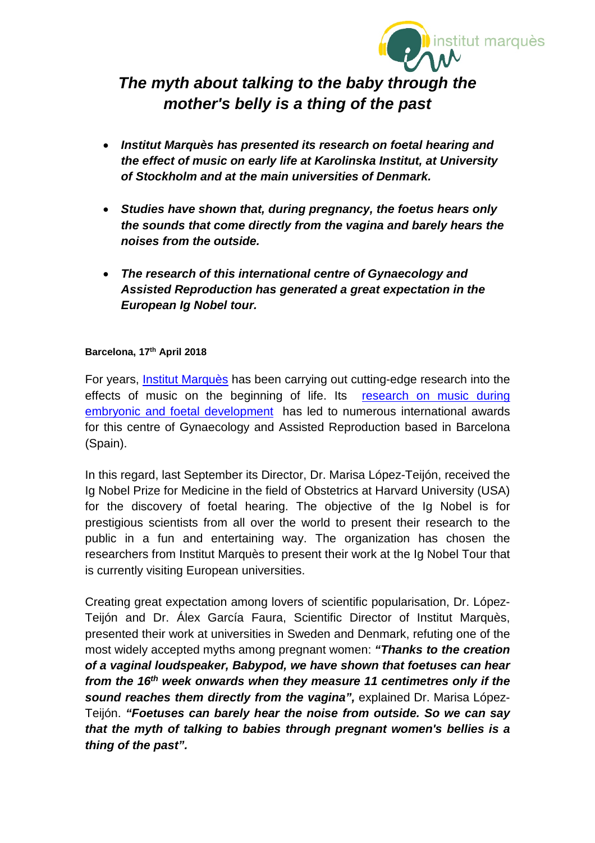

# *The myth about talking to the baby through the mother's belly is a thing of the past*

- *Institut Marquès has presented its research on foetal hearing and the effect of music on early life at Karolinska Institut, at University of Stockholm and at the main universities of Denmark.*
- *Studies have shown that, during pregnancy, the foetus hears only the sounds that come directly from the vagina and barely hears the noises from the outside.*
- *The research of this international centre of Gynaecology and Assisted Reproduction has generated a great expectation in the European Ig Nobel tour.*

### **Barcelona, 17th April 2018**

For years, [Institut Marquès](http://www.institutmarques.com/en) has been carrying out cutting-edge research into the effects of music on the beginning of life. Its research on music during [embryonic and foetal development](https://institutomarques.com/en/scientific-area/) has led to numerous international awards for this centre of Gynaecology and Assisted Reproduction based in Barcelona (Spain).

In this regard, last September its Director, Dr. Marisa López-Teijón, received the Ig Nobel Prize for Medicine in the field of Obstetrics at Harvard University (USA) for the discovery of foetal hearing. The objective of the Ig Nobel is for prestigious scientists from all over the world to present their research to the public in a fun and entertaining way. The organization has chosen the researchers from Institut Marquès to present their work at the Ig Nobel Tour that is currently visiting European universities.

Creating great expectation among lovers of scientific popularisation, Dr. López-Teijón and Dr. Álex García Faura, Scientific Director of Institut Marquès, presented their work at universities in Sweden and Denmark, refuting one of the most widely accepted myths among pregnant women: *"Thanks to the creation of a vaginal loudspeaker, Babypod, we have shown that foetuses can hear from the 16th week onwards when they measure 11 centimetres only if the sound reaches them directly from the vagina",* explained Dr. Marisa López-Teijón. *"Foetuses can barely hear the noise from outside. So we can say that the myth of talking to babies through pregnant women's bellies is a thing of the past".*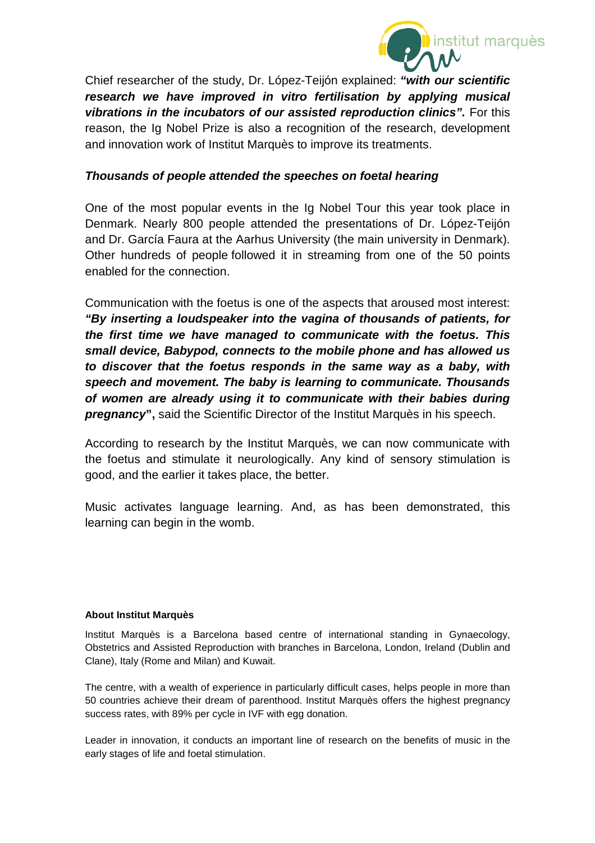

Chief researcher of the study, Dr. López-Teijón explained: *"with our scientific research we have improved in vitro fertilisation by applying musical vibrations in the incubators of our assisted reproduction clinics".* For this reason, the Ig Nobel Prize is also a recognition of the research, development and innovation work of Institut Marquès to improve its treatments.

## *Thousands of people attended the speeches on foetal hearing*

One of the most popular events in the Ig Nobel Tour this year took place in Denmark. Nearly 800 people attended the presentations of Dr. López-Teijón and Dr. García Faura at the Aarhus University (the main university in Denmark). Other hundreds of people followed it in streaming from one of the 50 points enabled for the connection.

Communication with the foetus is one of the aspects that aroused most interest: *"By inserting a loudspeaker into the vagina of thousands of patients, for the first time we have managed to communicate with the foetus. This small device, Babypod, connects to the mobile phone and has allowed us to discover that the foetus responds in the same way as a baby, with speech and movement. The baby is learning to communicate. Thousands of women are already using it to communicate with their babies during pregnancy***",** said the Scientific Director of the Institut Marquès in his speech.

According to research by the Institut Marquès, we can now communicate with the foetus and stimulate it neurologically. Any kind of sensory stimulation is good, and the earlier it takes place, the better.

Music activates language learning. And, as has been demonstrated, this learning can begin in the womb.

#### **About Institut Marquès**

Institut Marquès is a Barcelona based centre of international standing in Gynaecology, Obstetrics and Assisted Reproduction with branches in Barcelona, London, Ireland (Dublin and Clane), Italy (Rome and Milan) and Kuwait.

The centre, with a wealth of experience in particularly difficult cases, helps people in more than 50 countries achieve their dream of parenthood. Institut Marquès offers the highest pregnancy success rates, with 89% per cycle in IVF with egg donation.

Leader in innovation, it conducts an important line of research on the benefits of music in the early stages of life and foetal stimulation.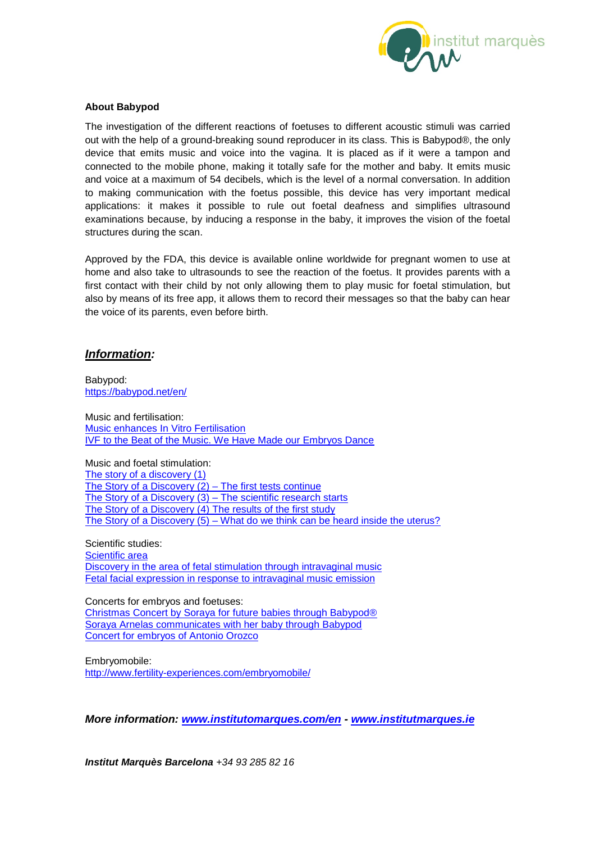

#### **About Babypod**

The investigation of the different reactions of foetuses to different acoustic stimuli was carried out with the help of a ground-breaking sound reproducer in its class. This is Babypod®, the only device that emits music and voice into the vagina. It is placed as if it were a tampon and connected to the mobile phone, making it totally safe for the mother and baby. It emits music and voice at a maximum of 54 decibels, which is the level of a normal conversation. In addition to making communication with the foetus possible, this device has very important medical applications: it makes it possible to rule out foetal deafness and simplifies ultrasound examinations because, by inducing a response in the baby, it improves the vision of the foetal structures during the scan.

Approved by the FDA, this device is available online worldwide for pregnant women to use at home and also take to ultrasounds to see the reaction of the foetus. It provides parents with a first contact with their child by not only allowing them to play music for foetal stimulation, but also by means of its free app, it allows them to record their messages so that the baby can hear the voice of its parents, even before birth.

#### *Information:*

Babypod: <https://babypod.net/en/>

Music and fertilisation: **[Music enhances In Vitro Fertilisation](http://www.fertility-experiences.com/music-enhances-in-vitro-fertilisation/)** [IVF to the Beat of the Music. We Have Made our Embryos Dance](http://www.fertility-experiences.com/ivf-to-the-beat-of-the-music-we-have-made-our-embryos-dance/)

Music and foetal stimulation: [The story of a discovery \(1\)](http://www.fertility-experiences.com/the-story-of-a-discovery/) [The Story of a Discovery \(2\) –](http://www.fertility-experiences.com/the-story-of-a-discovery-2-the-first-tests-continue/) The first tests continue [The Story of a Discovery \(3\) –](http://www.fertility-experiences.com/the-story-of-a-discovery-3-the-scientific-research-starts/) The scientific research starts [The Story of a Discovery \(4\) The results of the first study](http://www.fertility-experiences.com/the-story-of-a-discovery-4-the-results-of-the-first-study/) The Story of a Discovery (5) – [What do we think can be heard inside the uterus?](http://www.fertility-experiences.com/the-story-of-a-discovery-5-what-do-we-think-can-be-heard-inside-the-uterus/)

Scientific studies: [Scientific area](https://institutomarques.com/en/scientific-area/) [Discovery in the area of fetal stimulation through intravaginal music](https://institutomarques.com/en/scientific-area/response-fetus-vaginal-music-2/) [Fetal facial expression in response to intravaginal music emission](http://journals.sagepub.com/doi/abs/10.1177/1742271X15609367?journalCode=ultb)

Concerts for embryos and foetuses: [Christmas Concert by Soraya for future babies through Babypod®](https://www.youtube.com/watch?v=VOklyTEunFE) Soraya Arnelas communicates with her baby [through](https://www.youtube.com/watch?v=8VRpdsKL2dU) Babypod [Concert for embryos of Antonio Orozco](https://www.youtube.com/watch?v=4RV7RwcNUiA)

Embryomobile: <http://www.fertility-experiences.com/embryomobile/>

*More information: [www.institutomarques.com/](http://www.institutomarques.com/)en - [www.institutmarques.ie](http://www.institutmarques.ie/)*

*Institut Marquès Barcelona +34 93 285 82 16*